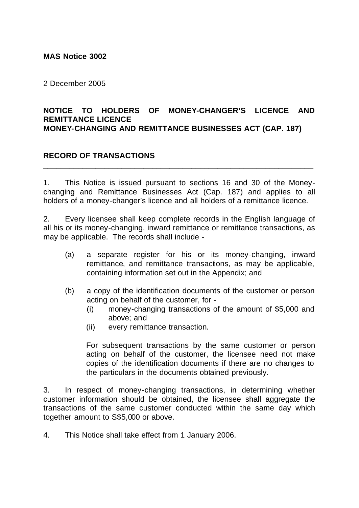#### **MAS Notice 3002**

2 December 2005

#### **NOTICE TO HOLDERS OF MONEY-CHANGER'S LICENCE AND REMITTANCE LICENCE MONEY-CHANGING AND REMITTANCE BUSINESSES ACT (CAP. 187)**

### **RECORD OF TRANSACTIONS**

1. This Notice is issued pursuant to sections 16 and 30 of the Moneychanging and Remittance Businesses Act (Cap. 187) and applies to all holders of a money-changer's licence and all holders of a remittance licence.

\_\_\_\_\_\_\_\_\_\_\_\_\_\_\_\_\_\_\_\_\_\_\_\_\_\_\_\_\_\_\_\_\_\_\_\_\_\_\_\_\_\_\_\_\_\_\_\_\_\_\_\_\_\_\_\_\_\_\_\_\_\_

2. Every licensee shall keep complete records in the English language of all his or its money-changing, inward remittance or remittance transactions, as may be applicable. The records shall include -

- (a) a separate register for his or its money-changing, inward remittance, and remittance transactions, as may be applicable, containing information set out in the Appendix; and
- (b) a copy of the identification documents of the customer or person acting on behalf of the customer, for -
	- (i) money-changing transactions of the amount of \$5,000 and above; and
	- (ii) every remittance transaction.

For subsequent transactions by the same customer or person acting on behalf of the customer, the licensee need not make copies of the identification documents if there are no changes to the particulars in the documents obtained previously.

3. In respect of money-changing transactions, in determining whether customer information should be obtained, the licensee shall aggregate the transactions of the same customer conducted within the same day which together amount to S\$5,000 or above.

4. This Notice shall take effect from 1 January 2006.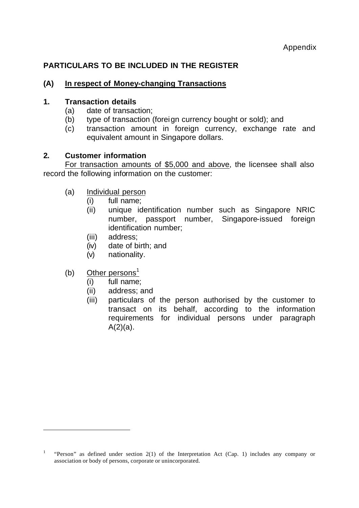# **PARTICULARS TO BE INCLUDED IN THE REGISTER**

## **(A) In respect of Money-changing Transactions**

#### **1. Transaction details**

- (a) date of transaction;
- (b) type of transaction (foreign currency bought or sold); and
- (c) transaction amount in foreign currency, exchange rate and equivalent amount in Singapore dollars.

### **2. Customer information**

For transaction amounts of \$5,000 and above, the licensee shall also record the following information on the customer:

- (a) Individual person
	- (i) full name;
	- (ii) unique identification number such as Singapore NRIC number, passport number, Singapore-issued foreign identification number;
	- (iii) address;
	- (iv) date of birth; and
	- (v) nationality.

## (b) Other persons<sup>1</sup>

j

- (i) full name;
- (ii) address; and
- (iii) particulars of the person authorised by the customer to transact on its behalf, according to the information requirements for individual persons under paragraph  $A(2)(a)$ .

<sup>1</sup> "Person" as defined under section 2(1) of the Interpretation Act (Cap. 1) includes any company or association or body of persons, corporate or unincorporated.